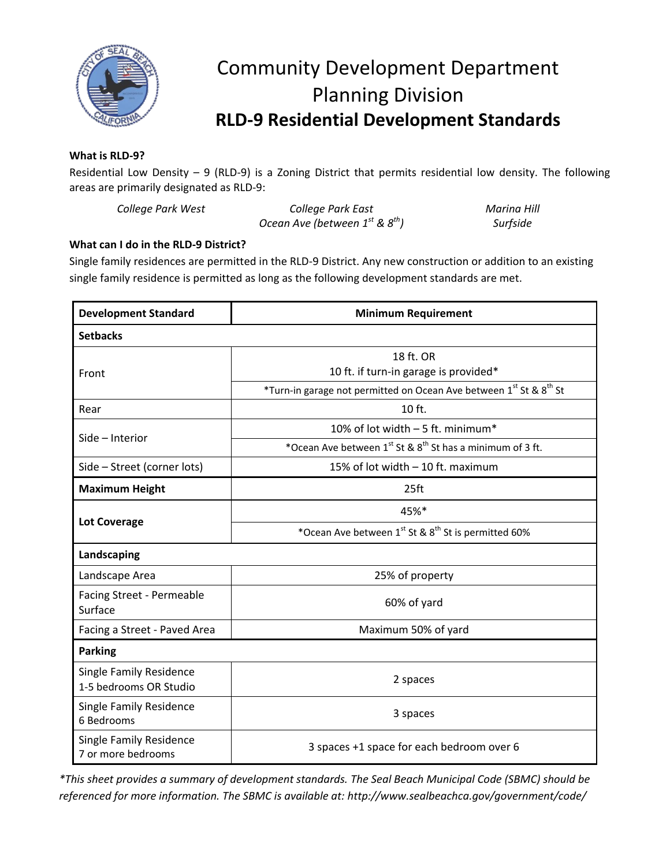

## Community Development Department Planning Division **RLD-9 Residential Development Standards**

## **What is RLD-9?**

Residential Low Density – 9 (RLD-9) is a Zoning District that permits residential low density. The following areas are primarily designated as RLD-9:

| College Park West | College Park East                        | <b>Marina Hill</b> |
|-------------------|------------------------------------------|--------------------|
|                   | Ocean Ave (between $1^{st}$ & $8^{th}$ ) | Surfside           |

## **What can I do in the RLD-9 District?**

Single family residences are permitted in the RLD-9 District. Any new construction or addition to an existing single family residence is permitted as long as the following development standards are met.

| <b>Development Standard</b>                              | <b>Minimum Requirement</b>                                                     |  |
|----------------------------------------------------------|--------------------------------------------------------------------------------|--|
| <b>Setbacks</b>                                          |                                                                                |  |
|                                                          | 18 ft. OR                                                                      |  |
| Front                                                    | 10 ft. if turn-in garage is provided*                                          |  |
|                                                          | *Turn-in garage not permitted on Ocean Ave between 1st St & 8 <sup>th</sup> St |  |
| Rear                                                     | 10 ft.                                                                         |  |
| Side - Interior                                          | 10% of lot width - 5 ft. minimum*                                              |  |
|                                                          | *Ocean Ave between 1st & 8 <sup>th</sup> St has a minimum of 3 ft.             |  |
| Side - Street (corner lots)                              | 15% of lot width - 10 ft. maximum                                              |  |
| <b>Maximum Height</b>                                    | 25 <sub>ft</sub>                                                               |  |
| <b>Lot Coverage</b>                                      | 45%*                                                                           |  |
|                                                          | *Ocean Ave between 1st St & 8 <sup>th</sup> St is permitted 60%                |  |
| Landscaping                                              |                                                                                |  |
| Landscape Area                                           | 25% of property                                                                |  |
| Facing Street - Permeable<br>Surface                     | 60% of yard                                                                    |  |
| Facing a Street - Paved Area                             | Maximum 50% of yard                                                            |  |
| <b>Parking</b>                                           |                                                                                |  |
| <b>Single Family Residence</b><br>1-5 bedrooms OR Studio | 2 spaces                                                                       |  |
| <b>Single Family Residence</b><br>6 Bedrooms             | 3 spaces                                                                       |  |
| <b>Single Family Residence</b><br>7 or more bedrooms     | 3 spaces +1 space for each bedroom over 6                                      |  |

*\*This sheet provides a summary of development standards. The Seal Beach Municipal Code (SBMC) should be referenced for more information. The SBMC is available at: http://www.sealbeachca.gov/government/code/*